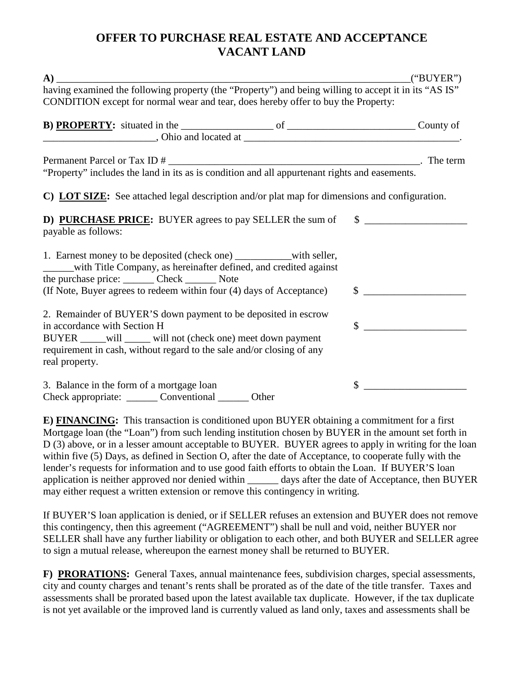## **OFFER TO PURCHASE REAL ESTATE AND ACCEPTANCE VACANT LAND**

|                                                                                                                                                                                                                                                                              | ("BUYER")      |
|------------------------------------------------------------------------------------------------------------------------------------------------------------------------------------------------------------------------------------------------------------------------------|----------------|
| having examined the following property (the "Property") and being willing to accept it in its "AS IS"<br>CONDITION except for normal wear and tear, does hereby offer to buy the Property:                                                                                   |                |
|                                                                                                                                                                                                                                                                              |                |
|                                                                                                                                                                                                                                                                              |                |
| C) LOT SIZE: See attached legal description and/or plat map for dimensions and configuration.<br>D) PURCHASE PRICE: BUYER agrees to pay SELLER the sum of \$<br>payable as follows:                                                                                          |                |
| 1. Earnest money to be deposited (check one) _______________with seller,<br>______with Title Company, as hereinafter defined, and credited against<br>the purchase price: _______ Check _______ Note<br>(If Note, Buyer agrees to redeem within four (4) days of Acceptance) | $\frac{1}{2}$  |
| 2. Remainder of BUYER'S down payment to be deposited in escrow<br>in accordance with Section H<br>BUYER ______ will ______ will not (check one) meet down payment<br>requirement in cash, without regard to the sale and/or closing of any<br>real property.                 | $\mathbb{S}^-$ |
| 3. Balance in the form of a mortgage loan<br>Check appropriate: ________ Conventional _______ Other                                                                                                                                                                          | \$             |

**E) FINANCING:** This transaction is conditioned upon BUYER obtaining a commitment for a first Mortgage loan (the "Loan") from such lending institution chosen by BUYER in the amount set forth in D (3) above, or in a lesser amount acceptable to BUYER. BUYER agrees to apply in writing for the loan within five (5) Days, as defined in Section O, after the date of Acceptance, to cooperate fully with the lender's requests for information and to use good faith efforts to obtain the Loan. If BUYER'S loan application is neither approved nor denied within \_\_\_\_\_\_ days after the date of Acceptance, then BUYER may either request a written extension or remove this contingency in writing.

If BUYER'S loan application is denied, or if SELLER refuses an extension and BUYER does not remove this contingency, then this agreement ("AGREEMENT") shall be null and void, neither BUYER nor SELLER shall have any further liability or obligation to each other, and both BUYER and SELLER agree to sign a mutual release, whereupon the earnest money shall be returned to BUYER.

**F) PRORATIONS:** General Taxes, annual maintenance fees, subdivision charges, special assessments, city and county charges and tenant's rents shall be prorated as of the date of the title transfer. Taxes and assessments shall be prorated based upon the latest available tax duplicate. However, if the tax duplicate is not yet available or the improved land is currently valued as land only, taxes and assessments shall be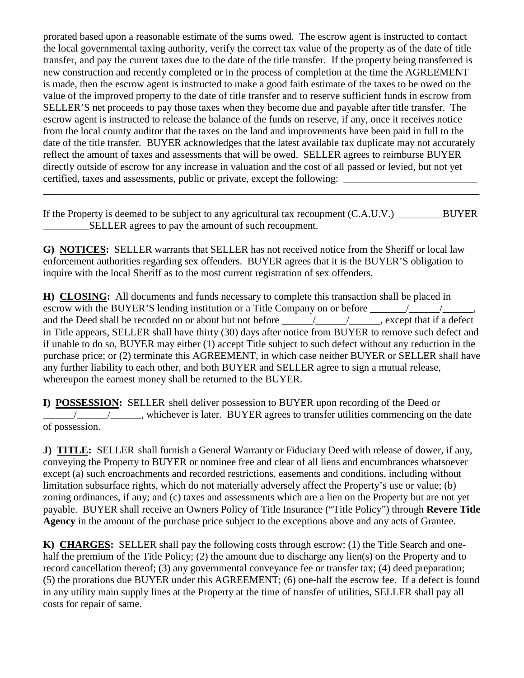prorated based upon a reasonable estimate of the sums owed. The escrow agent is instructed to contact the local governmental taxing authority, verify the correct tax value of the property as of the date of title transfer, and pay the current taxes due to the date of the title transfer. If the property being transferred is new construction and recently completed or in the process of completion at the time the AGREEMENT is made, then the escrow agent is instructed to make a good faith estimate of the taxes to be owed on the value of the improved property to the date of title transfer and to reserve sufficient funds in escrow from SELLER'S net proceeds to pay those taxes when they become due and payable after title transfer. The escrow agent is instructed to release the balance of the funds on reserve, if any, once it receives notice from the local county auditor that the taxes on the land and improvements have been paid in full to the date of the title transfer. BUYER acknowledges that the latest available tax duplicate may not accurately reflect the amount of taxes and assessments that will be owed. SELLER agrees to reimburse BUYER directly outside of escrow for any increase in valuation and the cost of all passed or levied, but not yet certified, taxes and assessments, public or private, except the following: \_\_\_\_\_\_\_\_\_\_\_\_\_\_\_\_\_\_\_\_\_\_\_\_\_\_\_\_\_\_\_\_\_\_\_

If the Property is deemed to be subject to any agricultural tax recoupment  $(C.A.U.V.)$  BUYER SELLER agrees to pay the amount of such recoupment.

\_\_\_\_\_\_\_\_\_\_\_\_\_\_\_\_\_\_\_\_\_\_\_\_\_\_\_\_\_\_\_\_\_\_\_\_\_\_\_\_\_\_\_\_\_\_\_\_\_\_\_\_\_\_\_\_\_\_\_\_\_\_\_\_\_\_\_\_\_\_\_\_\_\_\_\_\_\_\_\_\_\_\_\_\_

**G) NOTICES:** SELLER warrants that SELLER has not received notice from the Sheriff or local law enforcement authorities regarding sex offenders. BUYER agrees that it is the BUYER'S obligation to inquire with the local Sheriff as to the most current registration of sex offenders.

**H) CLOSING:** All documents and funds necessary to complete this transaction shall be placed in escrow with the BUYER'S lending institution or a Title Company on or before \_\_\_\_\_\_\_\_\_\_\_\_\_\_\_\_\_\_\_\_\_\_\_\_ and the Deed shall be recorded on or about but not before  $\frac{\sqrt{2}}{2}$ , except that if a defect in Title appears, SELLER shall have thirty (30) days after notice from BUYER to remove such defect and if unable to do so, BUYER may either (1) accept Title subject to such defect without any reduction in the purchase price; or (2) terminate this AGREEMENT, in which case neither BUYER or SELLER shall have any further liability to each other, and both BUYER and SELLER agree to sign a mutual release, whereupon the earnest money shall be returned to the BUYER.

**I) POSSESSION:** SELLER shell deliver possession to BUYER upon recording of the Deed or  $\frac{1}{\sqrt{1-\frac{1}{\sqrt{1-\frac{1}{\sqrt{1-\frac{1}{\sqrt{1-\frac{1}{\sqrt{1-\frac{1}{\sqrt{1-\frac{1}{\sqrt{1-\frac{1}{\sqrt{1-\frac{1}{\sqrt{1-\frac{1}{\sqrt{1-\frac{1}{\sqrt{1-\frac{1}{\sqrt{1-\frac{1}{\sqrt{1-\frac{1}{\sqrt{1-\frac{1}{\sqrt{1-\frac{1}{\sqrt{1-\frac{1}{\sqrt{1-\frac{1}{\sqrt{1-\frac{1}{\sqrt{1-\frac{1}{\sqrt{1-\frac{1}{\sqrt{1-\frac{1}{\sqrt{1-\frac{1}{\sqrt{1-\frac{1}{\sqrt{1-\frac{1$ of possession.

**J) TITLE:** SELLER shall furnish a General Warranty or Fiduciary Deed with release of dower, if any, conveying the Property to BUYER or nominee free and clear of all liens and encumbrances whatsoever except (a) such encroachments and recorded restrictions, easements and conditions, including without limitation subsurface rights, which do not materially adversely affect the Property's use or value; (b) zoning ordinances, if any; and (c) taxes and assessments which are a lien on the Property but are not yet payable. BUYER shall receive an Owners Policy of Title Insurance ("Title Policy") through **Revere Title Agency** in the amount of the purchase price subject to the exceptions above and any acts of Grantee.

**K) CHARGES:** SELLER shall pay the following costs through escrow: (1) the Title Search and onehalf the premium of the Title Policy; (2) the amount due to discharge any lien(s) on the Property and to record cancellation thereof; (3) any governmental conveyance fee or transfer tax; (4) deed preparation; (5) the prorations due BUYER under this AGREEMENT; (6) one-half the escrow fee. If a defect is found in any utility main supply lines at the Property at the time of transfer of utilities, SELLER shall pay all costs for repair of same.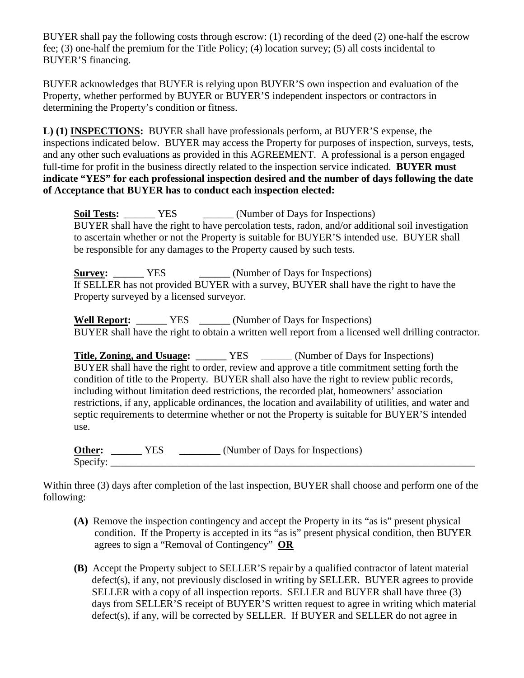BUYER shall pay the following costs through escrow: (1) recording of the deed (2) one-half the escrow fee; (3) one-half the premium for the Title Policy; (4) location survey; (5) all costs incidental to BUYER'S financing.

BUYER acknowledges that BUYER is relying upon BUYER'S own inspection and evaluation of the Property, whether performed by BUYER or BUYER'S independent inspectors or contractors in determining the Property's condition or fitness.

**L) (1) INSPECTIONS:** BUYER shall have professionals perform, at BUYER'S expense, the inspections indicated below. BUYER may access the Property for purposes of inspection, surveys, tests, and any other such evaluations as provided in this AGREEMENT. A professional is a person engaged full-time for profit in the business directly related to the inspection service indicated. **BUYER must indicate "YES" for each professional inspection desired and the number of days following the date of Acceptance that BUYER has to conduct each inspection elected:**

**Soil Tests:**  $YES$  (Number of Days for Inspections) BUYER shall have the right to have percolation tests, radon, and/or additional soil investigation to ascertain whether or not the Property is suitable for BUYER'S intended use. BUYER shall be responsible for any damages to the Property caused by such tests.

**Survey:** <u>\_\_\_\_\_\_</u> YES \_\_\_\_\_\_\_ (Number of Days for Inspections) If SELLER has not provided BUYER with a survey, BUYER shall have the right to have the Property surveyed by a licensed surveyor.

**Well Report:** \_\_\_\_\_\_ YES \_\_\_\_\_\_ (Number of Days for Inspections) BUYER shall have the right to obtain a written well report from a licensed well drilling contractor.

**Title, Zoning, and Usuage:** \_\_\_\_\_\_\_ YES \_\_\_\_\_\_ (Number of Days for Inspections) BUYER shall have the right to order, review and approve a title commitment setting forth the condition of title to the Property. BUYER shall also have the right to review public records, including without limitation deed restrictions, the recorded plat, homeowners' association restrictions, if any, applicable ordinances, the location and availability of utilities, and water and septic requirements to determine whether or not the Property is suitable for BUYER'S intended use.

**Other:** \_\_\_\_\_\_\_ YES \_\_\_\_\_\_\_\_ (Number of Days for Inspections)  $Specify:$ 

Within three (3) days after completion of the last inspection, BUYER shall choose and perform one of the following:

- **(A)** Remove the inspection contingency and accept the Property in its "as is" present physical condition. If the Property is accepted in its "as is" present physical condition, then BUYER agrees to sign a "Removal of Contingency" **OR**
- **(B)** Accept the Property subject to SELLER'S repair by a qualified contractor of latent material defect(s), if any, not previously disclosed in writing by SELLER. BUYER agrees to provide SELLER with a copy of all inspection reports. SELLER and BUYER shall have three (3) days from SELLER'S receipt of BUYER'S written request to agree in writing which material defect(s), if any, will be corrected by SELLER. If BUYER and SELLER do not agree in